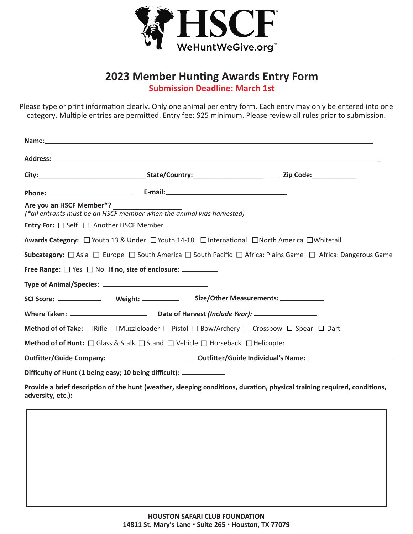

## **2023 Member Hunting Awards Entry Form Submission Deadline: March 1st**

Please type or print information clearly. Only one animal per entry form. Each entry may only be entered into one category. Multiple entries are permitted. Entry fee: \$25 minimum. Please review all rules prior to submission.

| Are you an HSCF Member*?<br>(*all entrants must be an HSCF member when the animal was harvested) |                                                                                                                                                  |  |
|--------------------------------------------------------------------------------------------------|--------------------------------------------------------------------------------------------------------------------------------------------------|--|
| <b>Entry For:</b> □ Self □ Another HSCF Member                                                   |                                                                                                                                                  |  |
|                                                                                                  | <b>Awards Category:</b> $\Box$ Youth 13 & Under $\Box$ Youth 14-18 $\Box$ International $\Box$ North America $\Box$ Whitetail                    |  |
|                                                                                                  | <b>Subcategory:</b> $\Box$ Asia $\Box$ Europe $\Box$ South America $\Box$ South Pacific $\Box$ Africa: Plains Game $\Box$ Africa: Dangerous Game |  |
| Free Range: □ Yes □ No If no, size of enclosure: __________                                      |                                                                                                                                                  |  |
|                                                                                                  |                                                                                                                                                  |  |
|                                                                                                  |                                                                                                                                                  |  |
|                                                                                                  |                                                                                                                                                  |  |
|                                                                                                  | <b>Method of of Take:</b> $\Box$ Rifle $\Box$ Muzzleloader $\Box$ Pistol $\Box$ Bow/Archery $\Box$ Crossbow $\Box$ Spear $\Box$ Dart             |  |
|                                                                                                  | Method of of Hunt: $\Box$ Glass & Stalk $\Box$ Stand $\Box$ Vehicle $\Box$ Horseback $\Box$ Helicopter                                           |  |
|                                                                                                  |                                                                                                                                                  |  |
| Difficulty of Hunt (1 being easy; 10 being difficult): ____________                              |                                                                                                                                                  |  |
|                                                                                                  | Provide a brief description of the hunt (weather, sleeping conditions, duration, physical training required, conditions,                         |  |

**adversity, etc.):**